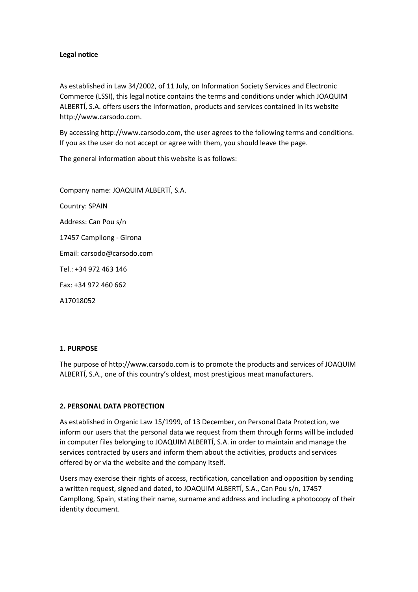## **Legal notice**

As established in Law 34/2002, of 11 July, on Information Society Services and Electronic Commerce (LSSI), this legal notice contains the terms and conditions under which JOAQUIM ALBERTÍ, S.A. offers users the information, products and services contained in its website http://www.carsodo.com.

By accessing http://www.carsodo.com, the user agrees to the following terms and conditions. If you as the user do not accept or agree with them, you should leave the page.

The general information about this website is as follows:

Company name: JOAQUIM ALBERTÍ, S.A. Country: SPAIN Address: Can Pou s/n 17457 Campllong - Girona Email: carsodo@carsodo.com Tel.: +34 972 463 146 Fax: +34 972 460 662 A17018052

## **1. PURPOSE**

The purpose of http://www.carsodo.com is to promote the products and services of JOAQUIM ALBERTÍ, S.A., one of this country's oldest, most prestigious meat manufacturers.

## **2. PERSONAL DATA PROTECTION**

As established in Organic Law 15/1999, of 13 December, on Personal Data Protection, we inform our users that the personal data we request from them through forms will be included in computer files belonging to JOAQUIM ALBERTÍ, S.A. in order to maintain and manage the services contracted by users and inform them about the activities, products and services offered by or via the website and the company itself.

Users may exercise their rights of access, rectification, cancellation and opposition by sending a written request, signed and dated, to JOAQUIM ALBERTÍ, S.A., Can Pou s/n, 17457 Campllong, Spain, stating their name, surname and address and including a photocopy of their identity document.